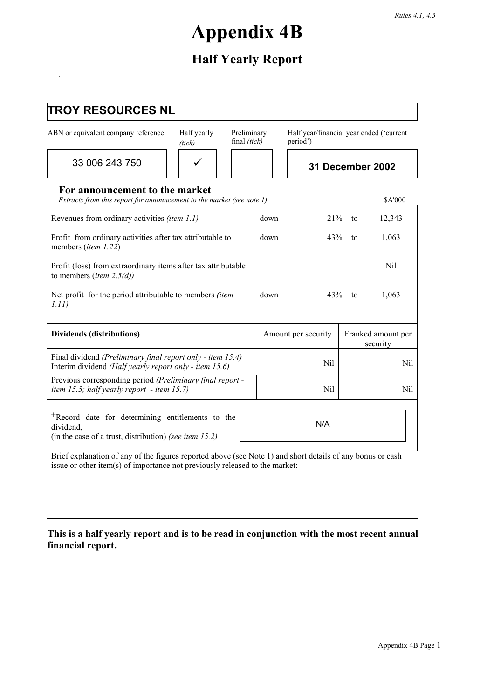# **Appendix 4B**

# **Half Yearly Report**

.

| <b>TROY RESOURCES NL</b>                                                                                                                                                                  |                       |                             |                                                      |    |                                |
|-------------------------------------------------------------------------------------------------------------------------------------------------------------------------------------------|-----------------------|-----------------------------|------------------------------------------------------|----|--------------------------------|
| ABN or equivalent company reference                                                                                                                                                       | Half yearly<br>(iick) | Preliminary<br>final (tick) | Half year/financial year ended ('current<br>period') |    |                                |
| 33 006 243 750                                                                                                                                                                            |                       |                             |                                                      |    | 31 December 2002               |
| For announcement to the market<br>Extracts from this report for announcement to the market (see note 1).                                                                                  |                       |                             |                                                      |    | <b>\$A'000</b>                 |
| Revenues from ordinary activities (item 1.1)                                                                                                                                              |                       | down                        | 21%                                                  | to | 12,343                         |
| Profit from ordinary activities after tax attributable to<br>members (item 1.22)                                                                                                          |                       | down                        | 43%                                                  | to | 1,063                          |
| Profit (loss) from extraordinary items after tax attributable<br>to members ( <i>item</i> 2.5( <i>d</i> ))                                                                                |                       |                             |                                                      |    | Nil                            |
| Net profit for the period attributable to members (item<br>1.11)                                                                                                                          |                       | down                        | 43%                                                  | to | 1,063                          |
| <b>Dividends (distributions)</b>                                                                                                                                                          |                       |                             | Amount per security                                  |    | Franked amount per<br>security |
| Final dividend (Preliminary final report only - item 15.4)<br>Interim dividend (Half yearly report only - item 15.6)                                                                      |                       |                             | Nil                                                  |    | Nil                            |
| Previous corresponding period (Preliminary final report -<br>item 15.5; half yearly report - item 15.7)                                                                                   |                       |                             | Nil                                                  |    | Nil                            |
| <sup>+</sup> Record date for determining entitlements to the<br>dividend,<br>(in the case of a trust, distribution) (see item $15.2$ )                                                    |                       |                             | N/A                                                  |    |                                |
| Brief explanation of any of the figures reported above (see Note 1) and short details of any bonus or cash<br>issue or other item(s) of importance not previously released to the market: |                       |                             |                                                      |    |                                |

**This is a half yearly report and is to be read in conjunction with the most recent annual financial report.**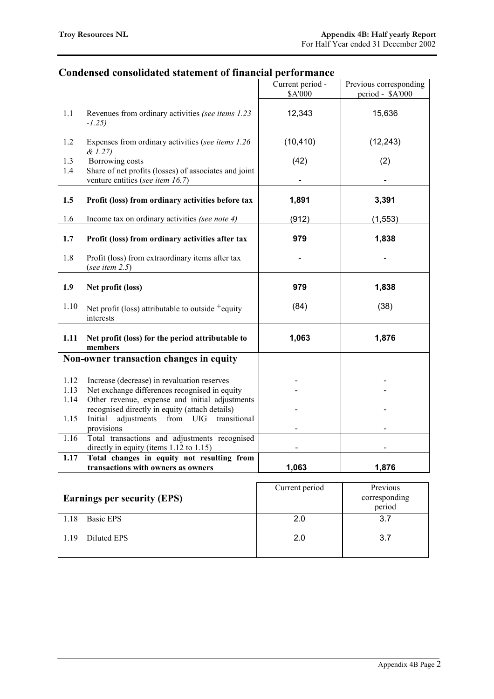## **Condensed consolidated statement of financial performance**

|              |                                                                                                              | Current period -<br>\$A'000 | Previous corresponding<br>period - \$A'000 |
|--------------|--------------------------------------------------------------------------------------------------------------|-----------------------------|--------------------------------------------|
| 1.1          | Revenues from ordinary activities (see items 1.23)<br>$-1.25$                                                | 12,343                      | 15,636                                     |
| 1.2          | Expenses from ordinary activities (see items 1.26)<br>& 1.27)                                                | (10, 410)                   | (12, 243)                                  |
| 1.3<br>1.4   | Borrowing costs<br>Share of net profits (losses) of associates and joint<br>venture entities (see item 16.7) | (42)                        | (2)                                        |
| 1.5          | Profit (loss) from ordinary activities before tax                                                            | 1,891                       | 3,391                                      |
| 1.6          | Income tax on ordinary activities (see note 4)                                                               | (912)                       | (1, 553)                                   |
| 1.7          | Profit (loss) from ordinary activities after tax                                                             | 979                         | 1,838                                      |
| 1.8          | Profit (loss) from extraordinary items after tax<br>(see item $2.5$ )                                        |                             |                                            |
| 1.9          | Net profit (loss)                                                                                            | 979                         | 1,838                                      |
| 1.10         | Net profit (loss) attributable to outside $+$ equity<br>interests                                            | (84)                        | (38)                                       |
| 1.11         | Net profit (loss) for the period attributable to<br>members                                                  | 1,063                       | 1,876                                      |
|              | Non-owner transaction changes in equity                                                                      |                             |                                            |
| 1.12<br>1.13 | Increase (decrease) in revaluation reserves<br>Net exchange differences recognised in equity                 |                             |                                            |
| 1.14         | Other revenue, expense and initial adjustments<br>recognised directly in equity (attach details)             |                             |                                            |
| 1.15         | Initial<br>adjustments from UIG<br>transitional<br>provisions                                                |                             |                                            |
| 1.16         | Total transactions and adjustments recognised<br>directly in equity (items $1.12$ to $1.15$ )                |                             |                                            |
| 1.17         | Total changes in equity not resulting from<br>transactions with owners as owners                             | 1,063                       | 1,876                                      |
|              | <b>Earnings per security (EPS)</b>                                                                           | Current period              | Previous<br>corresponding<br>period        |
| 1.18         | <b>Basic EPS</b>                                                                                             | 2.0                         | 3.7                                        |

2.0

1.19 Diluted EPS

3.7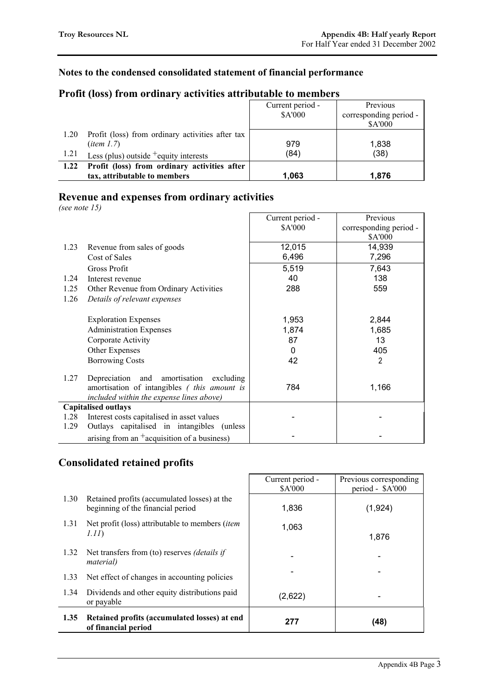## **Notes to the condensed consolidated statement of financial performance**

|      |                                                  | Current period -<br>\$A'000 | Previous<br>corresponding period -<br>\$A'000 |
|------|--------------------------------------------------|-----------------------------|-----------------------------------------------|
| 1.20 | Profit (loss) from ordinary activities after tax |                             |                                               |
|      | $(i$ tem 1.7)                                    | 979                         | 1,838                                         |
| 1.21 | Less (plus) outside $^+$ equity interests        | (84)                        | (38)                                          |
| 1.22 | Profit (loss) from ordinary activities after     |                             |                                               |
|      | tax, attributable to members                     | 1,063                       | 1.876                                         |

## **Profit (loss) from ordinary activities attributable to members**

## **Revenue and expenses from ordinary activities**

*(see note 15)*

|      |                                                     | Current period - | Previous               |
|------|-----------------------------------------------------|------------------|------------------------|
|      |                                                     | \$A'000          | corresponding period - |
|      |                                                     |                  | \$A'000                |
| 1.23 | Revenue from sales of goods                         | 12,015           | 14,939                 |
|      | Cost of Sales                                       | 6,496            | 7,296                  |
|      | Gross Profit                                        | 5,519            | 7,643                  |
| 1.24 | Interest revenue                                    | 40               | 138                    |
| 1.25 | Other Revenue from Ordinary Activities              | 288              | 559                    |
| 1.26 | Details of relevant expenses                        |                  |                        |
|      |                                                     |                  |                        |
|      | <b>Exploration Expenses</b>                         | 1,953            | 2,844                  |
|      | <b>Administration Expenses</b>                      | 1,874            | 1,685                  |
|      | Corporate Activity                                  | 87               | 13                     |
|      | Other Expenses                                      | 0                | 405                    |
|      | <b>Borrowing Costs</b>                              | 42               | 2                      |
|      |                                                     |                  |                        |
| 1.27 | Depreciation and amortisation<br>excluding          |                  |                        |
|      | amortisation of intangibles ( <i>this amount is</i> | 784              | 1,166                  |
|      | included within the expense lines above)            |                  |                        |
|      | <b>Capitalised outlays</b>                          |                  |                        |
| 1.28 | Interest costs capitalised in asset values          |                  |                        |
| 1.29 | Outlays capitalised in intangibles (unless          |                  |                        |
|      | arising from an $^+$ acquisition of a business)     |                  |                        |

## **Consolidated retained profits**

|      |                                                                                   | Current period -<br><b>SA'000</b> | Previous corresponding<br>period - \$A'000 |
|------|-----------------------------------------------------------------------------------|-----------------------------------|--------------------------------------------|
| 1.30 | Retained profits (accumulated losses) at the<br>beginning of the financial period | 1,836                             | (1,924)                                    |
| 1.31 | Net profit (loss) attributable to members <i>(item</i> )<br>1.11)                 | 1,063                             | 1,876                                      |
| 1.32 | Net transfers from (to) reserves <i>(details if</i><br><i>material</i> )          |                                   |                                            |
| 1.33 | Net effect of changes in accounting policies                                      |                                   |                                            |
| 1.34 | Dividends and other equity distributions paid<br>or payable                       | (2,622)                           |                                            |
| 1.35 | Retained profits (accumulated losses) at end<br>of financial period               | 277                               | (48)                                       |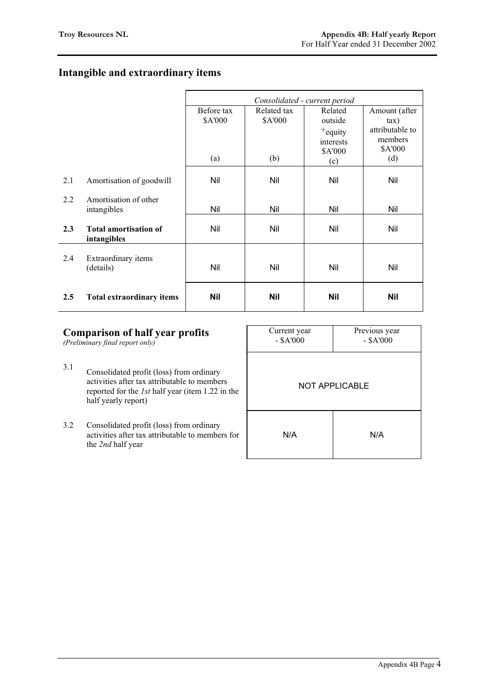# **Intangible and extraordinary items**

|     |                                             | Consolidated - current period |                |                                                      |                                                          |
|-----|---------------------------------------------|-------------------------------|----------------|------------------------------------------------------|----------------------------------------------------------|
|     |                                             | Before tax                    | Related tax    | Related                                              | Amount (after                                            |
|     |                                             | \$A'000<br>(a)                | \$A'000<br>(b) | outside<br>$+$ equity<br>interests<br>\$A'000<br>(c) | $\tan$ )<br>attributable to<br>members<br>\$A'000<br>(d) |
| 2.1 | Amortisation of goodwill                    | Nil                           | Nil            | Nil                                                  | Nil                                                      |
| 2.2 | Amortisation of other<br>intangibles        | Nil                           | Nil            | Nil                                                  | Nil                                                      |
| 2.3 | <b>Total amortisation of</b><br>intangibles | Nil                           | Nil            | Nil                                                  | Nil                                                      |
| 2.4 | Extraordinary items<br>(details)            | Nil                           | Nil            | Nil                                                  | Nil                                                      |
| 2.5 | <b>Total extraordinary items</b>            | Nil                           | <b>Nil</b>     | Nil                                                  | <b>Nil</b>                                               |

| <b>Comparison of half year profits</b><br>(Preliminary final report only) |                                                                                                                                                                            | Current year<br>$-$ \$A'000 | Previous year<br>$-$ \$A'000 |
|---------------------------------------------------------------------------|----------------------------------------------------------------------------------------------------------------------------------------------------------------------------|-----------------------------|------------------------------|
| 3.1                                                                       | Consolidated profit (loss) from ordinary<br>activities after tax attributable to members<br>reported for the <i>lst</i> half year (item 1.22 in the<br>half yearly report) | NOT APPLICABLE              |                              |
| 3.2                                                                       | Consolidated profit (loss) from ordinary<br>activities after tax attributable to members for<br>the 2nd half year                                                          | N/A<br>N/A                  |                              |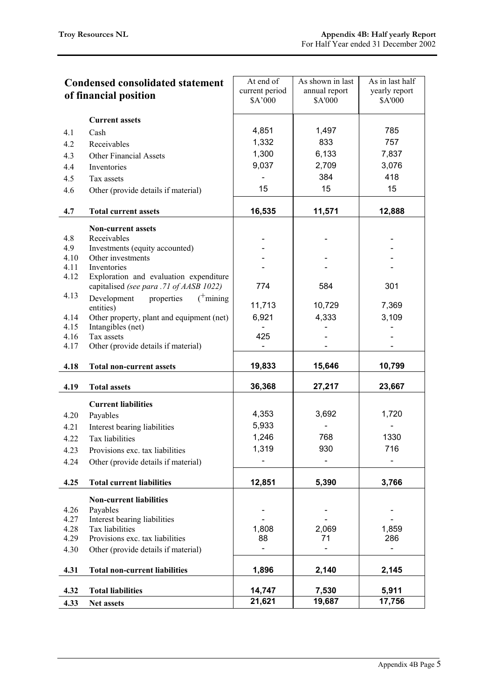| <b>Condensed consolidated statement</b><br>of financial position |                                                                   | At end of<br>current period | As shown in last<br>annual report | As in last half<br>yearly report |
|------------------------------------------------------------------|-------------------------------------------------------------------|-----------------------------|-----------------------------------|----------------------------------|
|                                                                  |                                                                   | \$A'000                     | \$A'000                           | \$A'000                          |
|                                                                  | <b>Current assets</b>                                             |                             |                                   |                                  |
| 4.1                                                              | Cash                                                              | 4,851                       | 1,497                             | 785                              |
| 4.2                                                              | Receivables                                                       | 1,332                       | 833                               | 757                              |
| 4.3                                                              | <b>Other Financial Assets</b>                                     | 1,300                       | 6,133                             | 7,837                            |
| 4.4                                                              | Inventories                                                       | 9,037                       | 2,709                             | 3,076                            |
| 4.5                                                              | Tax assets                                                        |                             | 384                               | 418                              |
| 4.6                                                              | Other (provide details if material)                               | 15                          | 15                                | 15                               |
|                                                                  |                                                                   |                             |                                   |                                  |
| 4.7                                                              | <b>Total current assets</b>                                       | 16,535                      | 11,571                            | 12,888                           |
|                                                                  | <b>Non-current assets</b>                                         |                             |                                   |                                  |
| 4.8                                                              | Receivables                                                       |                             |                                   |                                  |
| 4.9<br>4.10                                                      | Investments (equity accounted)<br>Other investments               |                             |                                   |                                  |
| 4.11                                                             | Inventories                                                       |                             |                                   |                                  |
| 4.12                                                             | Exploration and evaluation expenditure                            |                             |                                   |                                  |
| 4.13                                                             | capitalised (see para .71 of AASB 1022)                           | 774                         | 584                               | 301                              |
|                                                                  | Development<br>properties<br>$($ <sup>+</sup> mining<br>entities) | 11,713                      | 10,729                            | 7,369                            |
| 4.14                                                             | Other property, plant and equipment (net)                         | 6,921                       | 4,333                             | 3,109                            |
| 4.15                                                             | Intangibles (net)                                                 |                             |                                   |                                  |
| 4.16                                                             | Tax assets                                                        | 425                         |                                   |                                  |
| 4.17                                                             | Other (provide details if material)                               |                             |                                   |                                  |
| 4.18                                                             | <b>Total non-current assets</b>                                   | 19,833                      | 15,646                            | 10,799                           |
| 4.19                                                             | <b>Total assets</b>                                               | 36,368                      | 27,217                            | 23,667                           |
|                                                                  |                                                                   |                             |                                   |                                  |
|                                                                  | <b>Current liabilities</b>                                        |                             |                                   |                                  |
| 4.20                                                             | Payables                                                          | 4,353                       | 3,692                             | 1,720                            |
| 4.21                                                             | Interest bearing liabilities                                      | 5,933                       |                                   |                                  |
| 4.22                                                             | Tax liabilities                                                   | 1,246                       | 768                               | 1330                             |
| 4.23                                                             | Provisions exc. tax liabilities                                   | 1,319                       | 930                               | 716                              |
| 4.24                                                             | Other (provide details if material)                               |                             |                                   |                                  |
| 4.25                                                             | <b>Total current liabilities</b>                                  | 12,851                      | 5,390                             | 3,766                            |
|                                                                  | <b>Non-current liabilities</b>                                    |                             |                                   |                                  |
| 4.26                                                             | Payables                                                          |                             |                                   |                                  |
| 4.27                                                             | Interest bearing liabilities                                      |                             |                                   |                                  |
| 4.28                                                             | Tax liabilities<br>Provisions exc. tax liabilities                | 1,808<br>88                 | 2,069<br>71                       | 1,859<br>286                     |
| 4.29                                                             |                                                                   |                             |                                   |                                  |
| 4.30                                                             | Other (provide details if material)                               |                             |                                   |                                  |
| 4.31                                                             | <b>Total non-current liabilities</b>                              | 1,896                       | 2,140                             | 2,145                            |
| 4.32                                                             | <b>Total liabilities</b>                                          | 14,747                      | 7,530                             | 5,911                            |
| 4.33                                                             | Net assets                                                        | 21,621                      | 19,687                            | 17,756                           |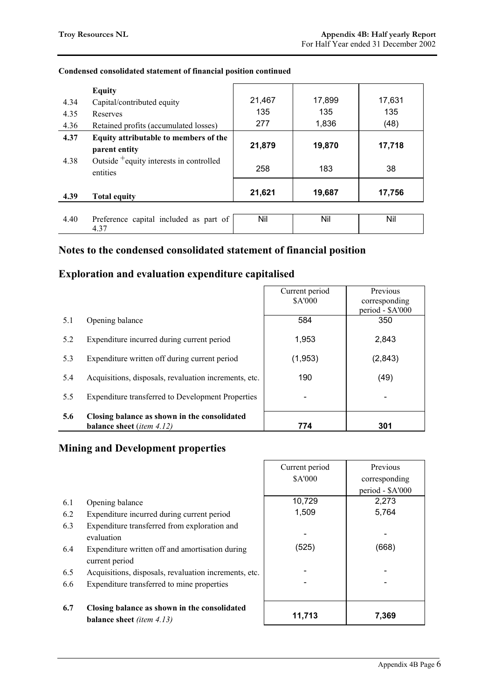|      | <b>Equity</b>                                                   |        |        |        |
|------|-----------------------------------------------------------------|--------|--------|--------|
| 4.34 | Capital/contributed equity                                      | 21,467 | 17,899 | 17,631 |
| 4.35 | Reserves                                                        | 135    | 135    | 135    |
| 4.36 | Retained profits (accumulated losses)                           | 277    | 1,836  | (48)   |
| 4.37 | Equity attributable to members of the                           |        |        |        |
|      | parent entity                                                   | 21,879 | 19,870 | 17,718 |
| 4.38 | Outside <sup>+</sup> equity interests in controlled<br>entities | 258    | 183    | 38     |
| 4.39 | <b>Total equity</b>                                             | 21,621 | 19,687 | 17,756 |
|      |                                                                 |        |        |        |
| 4.40 | Preference capital included as part of<br>4.37                  | Nil    | Nil    | Nil    |

#### **Condensed consolidated statement of financial position continued**

## **Notes to the condensed consolidated statement of financial position**

## **Exploration and evaluation expenditure capitalised**

|     |                                                          | Current period | Previous                 |
|-----|----------------------------------------------------------|----------------|--------------------------|
|     |                                                          | <b>\$A'000</b> | corresponding            |
|     |                                                          |                | period - \$A'000         |
| 5.1 | Opening balance                                          | 584            | 350                      |
| 5.2 | Expenditure incurred during current period               | 1,953          | 2,843                    |
| 5.3 | Expenditure written off during current period            | (1, 953)       | (2,843)                  |
| 5.4 | Acquisitions, disposals, revaluation increments, etc.    | 190            | (49)                     |
| 5.5 | <b>Expenditure transferred to Development Properties</b> |                | $\overline{\phantom{a}}$ |
| 5.6 | Closing balance as shown in the consolidated             |                |                          |
|     | <b>balance sheet</b> ( <i>item 4.12</i> )                | 774            | 301                      |

## **Mining and Development properties**

|     |                                                                           | Current period | Previous         |
|-----|---------------------------------------------------------------------------|----------------|------------------|
|     |                                                                           | \$A'000        | corresponding    |
|     |                                                                           |                | period - \$A'000 |
| 6.1 | Opening balance                                                           | 10,729         | 2,273            |
| 6.2 | Expenditure incurred during current period                                | 1,509          | 5,764            |
| 6.3 | Expenditure transferred from exploration and                              |                |                  |
|     | evaluation                                                                |                |                  |
| 6.4 | Expenditure written off and amortisation during                           | (525)          | (668)            |
|     | current period                                                            |                |                  |
| 6.5 | Acquisitions, disposals, revaluation increments, etc.                     |                |                  |
| 6.6 | Expenditure transferred to mine properties                                |                |                  |
|     |                                                                           |                |                  |
| 6.7 | Closing balance as shown in the consolidated<br>balance sheet (item 4.13) | 11,713         | 7,369            |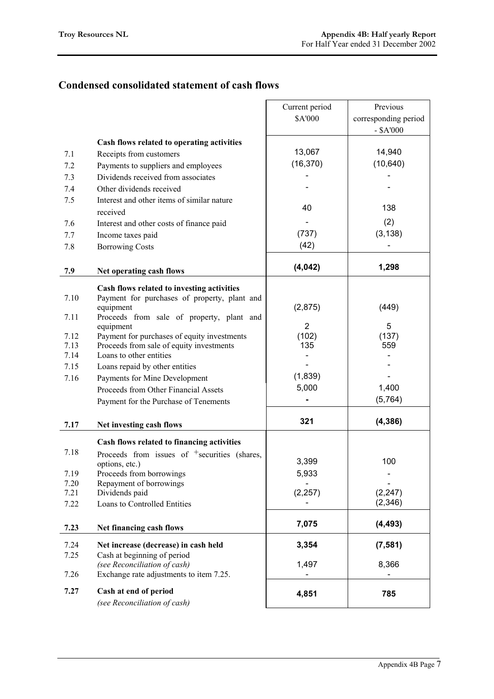## **Condensed consolidated statement of cash flows**

|              |                                                                     | Current period | Previous             |
|--------------|---------------------------------------------------------------------|----------------|----------------------|
|              |                                                                     | \$A'000        | corresponding period |
|              |                                                                     |                | $-$ \$A'000          |
|              | Cash flows related to operating activities                          |                |                      |
| 7.1          | Receipts from customers                                             | 13,067         | 14,940               |
| 7.2          | Payments to suppliers and employees                                 | (16, 370)      | (10, 640)            |
| 7.3          | Dividends received from associates                                  |                |                      |
| 7.4          | Other dividends received                                            |                |                      |
|              |                                                                     |                |                      |
| 7.5          | Interest and other items of similar nature<br>received              | 40             | 138                  |
|              |                                                                     |                | (2)                  |
| 7.6          | Interest and other costs of finance paid                            | (737)          | (3, 138)             |
| 7.7          | Income taxes paid                                                   |                |                      |
| 7.8          | <b>Borrowing Costs</b>                                              | (42)           |                      |
| 7.9          | Net operating cash flows                                            | (4, 042)       | 1,298                |
|              | Cash flows related to investing activities                          |                |                      |
| 7.10         | Payment for purchases of property, plant and                        |                |                      |
|              | equipment                                                           | (2,875)        | (449)                |
| 7.11         | Proceeds from sale of property, plant and                           |                |                      |
|              | equipment                                                           | $\overline{2}$ | 5                    |
| 7.12         | Payment for purchases of equity investments                         | (102)          | (137)                |
| 7.13<br>7.14 | Proceeds from sale of equity investments<br>Loans to other entities | 135            | 559                  |
| 7.15         |                                                                     |                |                      |
|              | Loans repaid by other entities                                      | (1,839)        |                      |
| 7.16         | Payments for Mine Development                                       | 5,000          | 1,400                |
|              | Proceeds from Other Financial Assets                                |                | (5, 764)             |
|              | Payment for the Purchase of Tenements                               |                |                      |
|              |                                                                     | 321            | (4, 386)             |
| 7.17         | Net investing cash flows                                            |                |                      |
|              | Cash flows related to financing activities                          |                |                      |
| 7.18         | Proceeds from issues of <sup>+</sup> securities (shares,            |                |                      |
|              | options, etc.)                                                      | 3,399          | 100                  |
| 7.19         | Proceeds from borrowings                                            | 5,933          |                      |
| 7.20         | Repayment of borrowings                                             |                |                      |
| 7.21         | Dividends paid                                                      | (2, 257)       | (2, 247)<br>(2, 346) |
| 7.22         | Loans to Controlled Entities                                        |                |                      |
|              |                                                                     | 7,075          | (4, 493)             |
| 7.23         | Net financing cash flows                                            |                |                      |
| 7.24         | Net increase (decrease) in cash held                                | 3,354          | (7, 581)             |
| 7.25         | Cash at beginning of period                                         |                |                      |
|              | (see Reconciliation of cash)                                        | 1,497          | 8,366                |
| 7.26         | Exchange rate adjustments to item 7.25.                             |                |                      |
| 7.27         | Cash at end of period                                               | 4,851          | 785                  |
|              | (see Reconciliation of cash)                                        |                |                      |
|              |                                                                     |                |                      |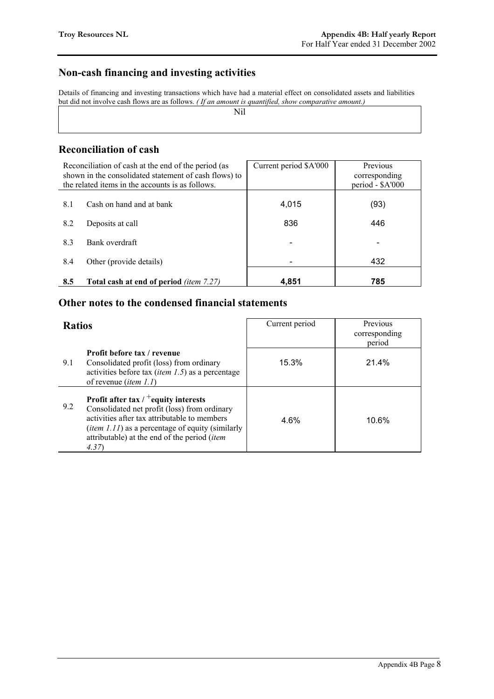## **Non-cash financing and investing activities**

Details of financing and investing transactions which have had a material effect on consolidated assets and liabilities but did not involve cash flows are as follows. *( If an amount is quantified, show comparative amount.)*

Nil

#### **Reconciliation of cash**

|     | Reconciliation of cash at the end of the period (as<br>shown in the consolidated statement of cash flows) to<br>the related items in the accounts is as follows. | Current period \$A'000 | Previous<br>corresponding<br>period - \$A'000 |
|-----|------------------------------------------------------------------------------------------------------------------------------------------------------------------|------------------------|-----------------------------------------------|
| 8.1 | Cash on hand and at bank                                                                                                                                         | 4,015                  | (93)                                          |
| 8.2 | Deposits at call                                                                                                                                                 | 836                    | 446                                           |
| 8.3 | Bank overdraft                                                                                                                                                   |                        |                                               |
| 8.4 | Other (provide details)                                                                                                                                          |                        | 432                                           |
| 8.5 | <b>Total cash at end of period</b> <i>(item 7.27)</i>                                                                                                            | 4,851                  | 785                                           |

## **Other notes to the condensed financial statements**

| <b>Ratios</b> |                                                                                                                                                                                                                                                                      | Current period | Previous<br>corresponding<br>period |
|---------------|----------------------------------------------------------------------------------------------------------------------------------------------------------------------------------------------------------------------------------------------------------------------|----------------|-------------------------------------|
| 9.1           | <b>Profit before tax / revenue</b><br>Consolidated profit (loss) from ordinary<br>activities before tax <i>(item 1.5)</i> as a percentage<br>of revenue <i>(item 1.1)</i>                                                                                            | 15.3%          | 21.4%                               |
| 9.2           | Profit after tax $/$ + equity interests<br>Consolidated net profit (loss) from ordinary<br>activities after tax attributable to members<br>( <i>item 1.11</i> ) as a percentage of equity (similarly<br>attributable) at the end of the period ( <i>item</i><br>4.37 | 4.6%           | 10.6%                               |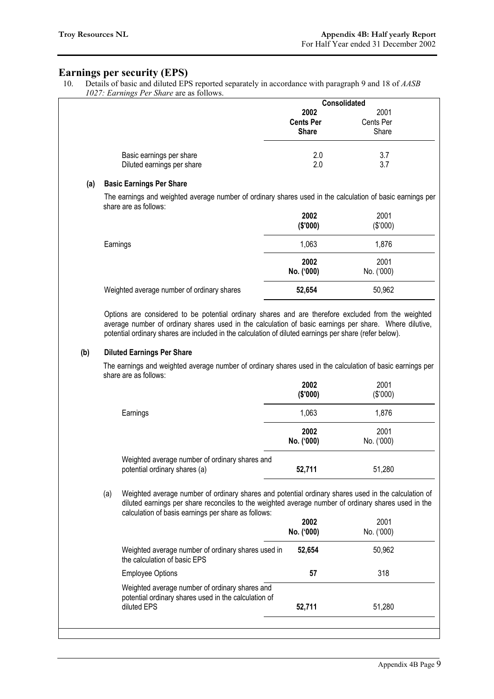#### **Earnings per security (EPS)**

10. Details of basic and diluted EPS reported separately in accordance with paragraph 9 and 18 of *AASB 1027: Earnings Per Share* are as follows.

| $1027.$ Burnings TV bildre are as follows. |                                                                                                                                                                                                                                                                                                                                                              |                                          | Consolidated                |
|--------------------------------------------|--------------------------------------------------------------------------------------------------------------------------------------------------------------------------------------------------------------------------------------------------------------------------------------------------------------------------------------------------------------|------------------------------------------|-----------------------------|
|                                            |                                                                                                                                                                                                                                                                                                                                                              | 2002<br><b>Cents Per</b><br><b>Share</b> | 2001<br>Cents Per<br>Share  |
|                                            | Basic earnings per share<br>Diluted earnings per share                                                                                                                                                                                                                                                                                                       | 2.0<br>2.0                               | 3.7<br>3.7                  |
| (a)                                        | <b>Basic Earnings Per Share</b>                                                                                                                                                                                                                                                                                                                              |                                          |                             |
|                                            | The earnings and weighted average number of ordinary shares used in the calculation of basic earnings per<br>share are as follows:                                                                                                                                                                                                                           | 2002                                     | 2001                        |
|                                            |                                                                                                                                                                                                                                                                                                                                                              | (\$'000)                                 | (\$'000)                    |
|                                            | Earnings                                                                                                                                                                                                                                                                                                                                                     | 1,063                                    | 1,876                       |
|                                            |                                                                                                                                                                                                                                                                                                                                                              | 2002<br>No. ('000)                       | 2001<br>No. ('000)          |
|                                            | Weighted average number of ordinary shares                                                                                                                                                                                                                                                                                                                   | 52,654                                   | 50,962                      |
|                                            | Options are considered to be potential ordinary shares and are therefore excluded from the weighted<br>average number of ordinary shares used in the calculation of basic earnings per share. Where dilutive,<br>potential ordinary shares are included in the calculation of diluted earnings per share (refer below).<br><b>Diluted Earnings Per Share</b> |                                          |                             |
| (b)                                        | The earnings and weighted average number of ordinary shares used in the calculation of basic earnings per<br>share are as follows:                                                                                                                                                                                                                           | 2002                                     | 2001                        |
|                                            |                                                                                                                                                                                                                                                                                                                                                              | (\$'000)                                 | (\$'000)                    |
|                                            | Earnings                                                                                                                                                                                                                                                                                                                                                     | 1,063<br>2002<br>No. ('000)              | 1,876<br>2001<br>No. ('000) |
|                                            | Weighted average number of ordinary shares and<br>potential ordinary shares (a)                                                                                                                                                                                                                                                                              | 52,711                                   | 51,280                      |
|                                            | (a)<br>Weighted average number of ordinary shares and potential ordinary shares used in the calculation of<br>diluted earnings per share reconciles to the weighted average number of ordinary shares used in the                                                                                                                                            |                                          |                             |
|                                            | calculation of basis earnings per share as follows:                                                                                                                                                                                                                                                                                                          | 2002<br>No. ('000)                       | 2001<br>No. ('000)          |
|                                            | Weighted average number of ordinary shares used in<br>the calculation of basic EPS                                                                                                                                                                                                                                                                           | 52,654                                   | 50,962                      |
|                                            | <b>Employee Options</b>                                                                                                                                                                                                                                                                                                                                      | 57                                       | 318                         |
|                                            | Weighted average number of ordinary shares and<br>potential ordinary shares used in the calculation of<br>diluted EPS                                                                                                                                                                                                                                        | 52,711                                   | 51,280                      |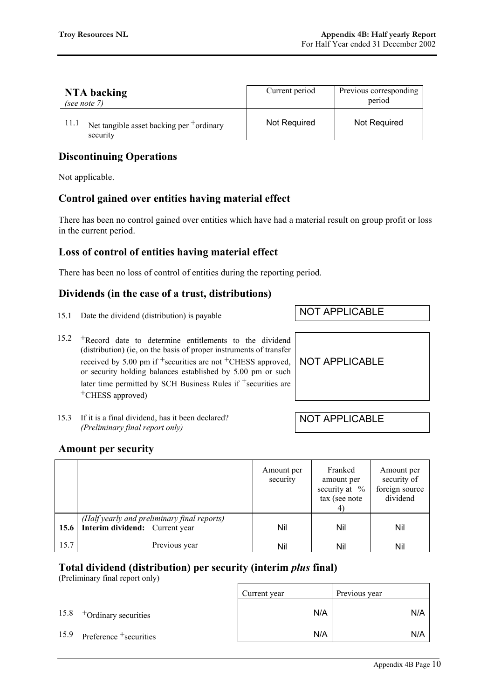| NTA backing<br>(see note $7$ )                          | Current period | Previous corresponding<br>period |
|---------------------------------------------------------|----------------|----------------------------------|
| Net tangible asset backing per $+$ ordinary<br>security | Not Required   | Not Required                     |

## **Discontinuing Operations**

Not applicable.

## **Control gained over entities having material effect**

There has been no control gained over entities which have had a material result on group profit or loss in the current period.

## **Loss of control of entities having material effect**

There has been no loss of control of entities during the reporting period.

## **Dividends (in the case of a trust, distributions)**

- 15.1 Date the dividend (distribution) is payable NOT APPLICABLE
- 15.2 +Record date to determine entitlements to the dividend (distribution) (ie, on the basis of proper instruments of transfer received by 5.00 pm if  $+$ securities are not  $+$ CHESS approved, or security holding balances established by 5.00 pm or such later time permitted by SCH Business Rules if <sup>+</sup>securities are +CHESS approved)
- 15.3 If it is a final dividend, has it been declared? *(Preliminary final report only)*

NOT APPLICABLE

NOT APPLICABLE

#### **Amount per security**

|      |                                             | Amount per<br>security | Franked<br>amount per<br>security at $%$<br>tax (see note | Amount per<br>security of<br>foreign source<br>dividend |
|------|---------------------------------------------|------------------------|-----------------------------------------------------------|---------------------------------------------------------|
|      | (Half yearly and preliminary final reports) |                        |                                                           |                                                         |
| 15.6 | Interim dividend: Current year              | Nil                    | Nil                                                       | Nil                                                     |
| 15.7 | Previous year                               | Nil                    | Nil                                                       | Nil                                                     |

#### **Total dividend (distribution) per security (interim** *plus* **final)**

(Preliminary final report only)

|      |                             | Current year | Previous year |
|------|-----------------------------|--------------|---------------|
|      | $15.8$ +Ordinary securities | N/A          | N/A           |
| 15.9 | Preference +securities      | N/A          | N/A           |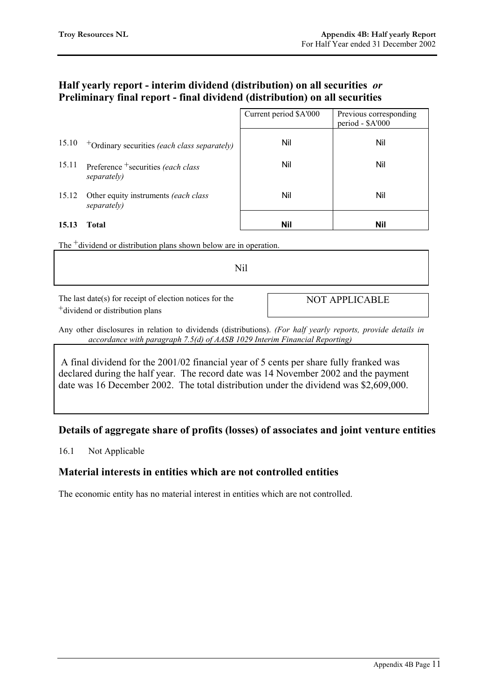## **Half yearly report - interim dividend (distribution) on all securities** *or* **Preliminary final report - final dividend (distribution) on all securities**

|       |                                                     | Current period \$A'000 | Previous corresponding<br>period - \$A'000 |
|-------|-----------------------------------------------------|------------------------|--------------------------------------------|
| 15.10 | $+$ Ordinary securities (each class separately)     | Nil                    | Nil                                        |
| 15.11 | Preference + securities (each class<br>separately)  | Nil                    | Nil                                        |
| 15.12 | Other equity instruments (each class<br>separately) | Nil                    | Nil                                        |
| 15.13 | Total                                               | Nil                    | Nil                                        |

The <sup>+</sup>dividend or distribution plans shown below are in operation.

Nil

The last date(s) for receipt of election notices for the +dividend or distribution plans

NOT APPLICABLE

Any other disclosures in relation to dividends (distributions). *(For half yearly reports, provide details in accordance with paragraph 7.5(d) of AASB 1029 Interim Financial Reporting)*

 A final dividend for the 2001/02 financial year of 5 cents per share fully franked was declared during the half year. The record date was 14 November 2002 and the payment date was 16 December 2002. The total distribution under the dividend was \$2,609,000.

## **Details of aggregate share of profits (losses) of associates and joint venture entities**

16.1 Not Applicable

## **Material interests in entities which are not controlled entities**

The economic entity has no material interest in entities which are not controlled.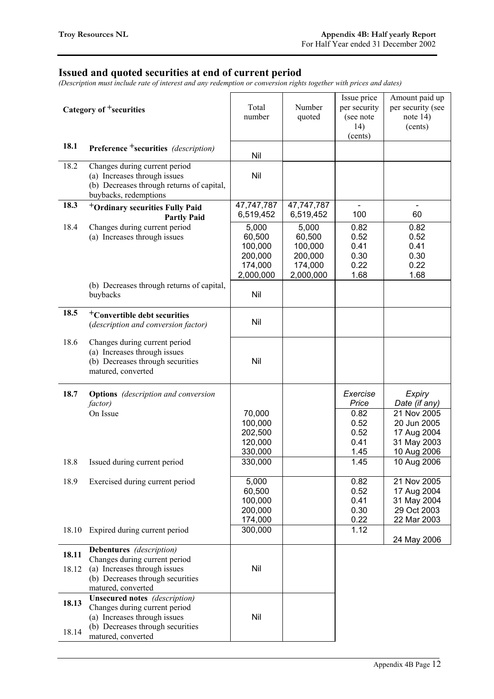#### **Issued and quoted securities at end of current period**

*(Description must include rate of interest and any redemption or conversion rights together with prices and dates)*

| Category of <sup>+</sup> securities |                                                                                                                                                                 | Total<br>number                                               | Number<br>quoted                                              | Issue price<br>per security<br>(see note<br>14)<br>(cents) | Amount paid up<br>per security (see<br>note $14)$<br>(cents)            |
|-------------------------------------|-----------------------------------------------------------------------------------------------------------------------------------------------------------------|---------------------------------------------------------------|---------------------------------------------------------------|------------------------------------------------------------|-------------------------------------------------------------------------|
| 18.1                                | <b>Preference</b> +securities (description)                                                                                                                     | Nil                                                           |                                                               |                                                            |                                                                         |
| 18.2                                | Changes during current period<br>(a) Increases through issues<br>(b) Decreases through returns of capital,<br>buybacks, redemptions                             | Nil                                                           |                                                               |                                                            |                                                                         |
| 18.3                                | <sup>+</sup> Ordinary securities Fully Paid<br><b>Partly Paid</b>                                                                                               | 47,747,787<br>6,519,452                                       | 47,747,787<br>6,519,452                                       | $\blacksquare$<br>100                                      | $\blacksquare$<br>60                                                    |
| 18.4                                | Changes during current period<br>(a) Increases through issues                                                                                                   | 5,000<br>60,500<br>100,000<br>200,000<br>174,000<br>2,000,000 | 5,000<br>60,500<br>100,000<br>200,000<br>174,000<br>2,000,000 | 0.82<br>0.52<br>0.41<br>0.30<br>0.22<br>1.68               | 0.82<br>0.52<br>0.41<br>0.30<br>0.22<br>1.68                            |
|                                     | (b) Decreases through returns of capital,<br>buybacks                                                                                                           | Nil                                                           |                                                               |                                                            |                                                                         |
| 18.5                                | <sup>+</sup> Convertible debt securities<br>(description and conversion factor)                                                                                 | Nil                                                           |                                                               |                                                            |                                                                         |
| 18.6                                | Changes during current period<br>(a) Increases through issues<br>(b) Decreases through securities<br>matured, converted                                         | Nil                                                           |                                                               |                                                            |                                                                         |
| 18.7                                | <b>Options</b> (description and conversion<br>factor)                                                                                                           |                                                               |                                                               | Exercise<br>Price                                          | Expiry<br>Date (if any)                                                 |
|                                     | On Issue                                                                                                                                                        | 70,000<br>100,000<br>202,500<br>120,000<br>330,000            |                                                               | 0.82<br>0.52<br>0.52<br>0.41<br>1.45                       | 21 Nov 2005<br>20 Jun 2005<br>17 Aug 2004<br>31 May 2003<br>10 Aug 2006 |
| 18.8                                | Issued during current period                                                                                                                                    | 330,000                                                       |                                                               | 1.45                                                       | 10 Aug 2006                                                             |
| 18.9                                | Exercised during current period                                                                                                                                 | 5,000<br>60,500<br>100,000<br>200,000<br>174,000              |                                                               | 0.82<br>0.52<br>0.41<br>0.30<br>0.22                       | 21 Nov 2005<br>17 Aug 2004<br>31 May 2004<br>29 Oct 2003<br>22 Mar 2003 |
| 18.10                               | Expired during current period                                                                                                                                   | 300,000                                                       |                                                               | 1.12                                                       | 24 May 2006                                                             |
| 18.11<br>18.12                      | Debentures (description)<br>Changes during current period<br>(a) Increases through issues<br>(b) Decreases through securities<br>matured, converted             | Nil                                                           |                                                               |                                                            |                                                                         |
| 18.13<br>18.14                      | <b>Unsecured notes</b> (description)<br>Changes during current period<br>(a) Increases through issues<br>(b) Decreases through securities<br>matured, converted | Nil                                                           |                                                               |                                                            |                                                                         |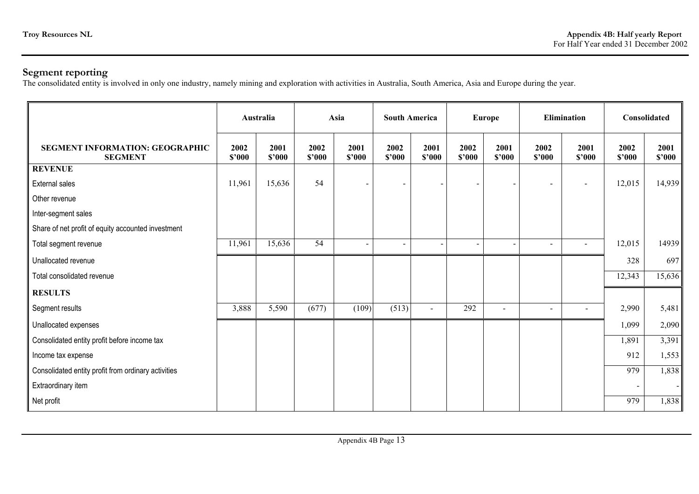#### **Segment reporting**

The consolidated entity is involved in only one industry, namely mining and exploration with activities in Australia, South America, Asia and Europe during the year.

|                                                     |                | Australia      |                | Asia           |                | <b>South America</b>     |                | <b>Europe</b>  |                              | <b>Elimination</b> |                | <b>Consolidated</b> |
|-----------------------------------------------------|----------------|----------------|----------------|----------------|----------------|--------------------------|----------------|----------------|------------------------------|--------------------|----------------|---------------------|
| SEGMENT INFORMATION: GEOGRAPHIC<br><b>SEGMENT</b>   | 2002<br>\$2000 | 2001<br>\$2000 | 2002<br>\$2000 | 2001<br>\$2000 | 2002<br>\$2000 | 2001<br>\$2000           | 2002<br>\$2000 | 2001<br>\$2000 | 2002<br>\$2000               | 2001<br>\$2000     | 2002<br>\$2000 | 2001<br>\$'000      |
| <b>REVENUE</b>                                      |                |                |                |                |                |                          |                |                |                              |                    |                |                     |
| <b>External sales</b>                               | 11,961         | 15,636         | 54             |                |                | $\overline{\phantom{a}}$ |                |                | $\qquad \qquad \blacksquare$ | $\blacksquare$     | 12,015         | 14,939              |
| Other revenue                                       |                |                |                |                |                |                          |                |                |                              |                    |                |                     |
| Inter-segment sales                                 |                |                |                |                |                |                          |                |                |                              |                    |                |                     |
| Share of net profit of equity accounted investment  |                |                |                |                |                |                          |                |                |                              |                    |                |                     |
| Total segment revenue                               | 11,961         | 15,636         | 54             |                |                |                          |                |                | $\overline{\phantom{a}}$     |                    | 12,015         | 14939               |
| Unallocated revenue                                 |                |                |                |                |                |                          |                |                |                              |                    | 328            | 697                 |
| Total consolidated revenue                          |                |                |                |                |                |                          |                |                |                              |                    | 12,343         | 15,636              |
| <b>RESULTS</b>                                      |                |                |                |                |                |                          |                |                |                              |                    |                |                     |
| Segment results                                     | 3,888          | 5,590          | (677)          | (109)          | (513)          | $\sim$                   | 292            | $\blacksquare$ | $\blacksquare$               | $\blacksquare$     | 2,990          | 5,481               |
| Unallocated expenses                                |                |                |                |                |                |                          |                |                |                              |                    | 1,099          | 2,090               |
| Consolidated entity profit before income tax        |                |                |                |                |                |                          |                |                |                              |                    | 1,891          | 3,391               |
| Income tax expense                                  |                |                |                |                |                |                          |                |                |                              |                    | 912            | 1,553               |
| Consolidated entity profit from ordinary activities |                |                |                |                |                |                          |                |                |                              |                    | 979            | 1,838               |
| Extraordinary item                                  |                |                |                |                |                |                          |                |                |                              |                    |                |                     |
| Net profit                                          |                |                |                |                |                |                          |                |                |                              |                    | 979            | 1,838               |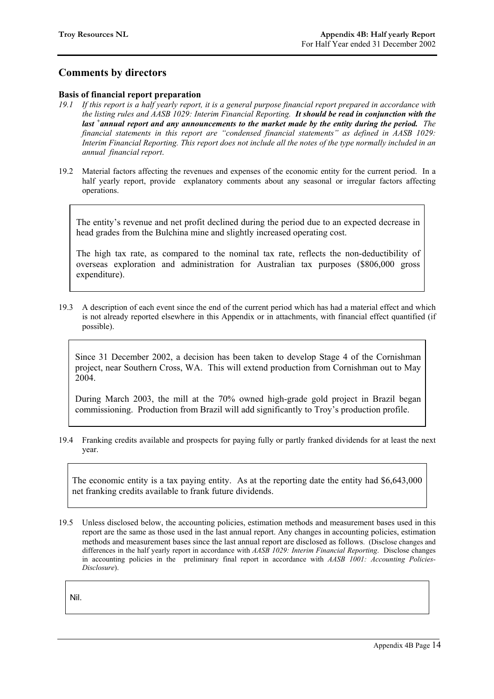## **Comments by directors**

#### **Basis of financial report preparation**

- *19.1 If this report is a half yearly report, it is a general purpose financial report prepared in accordance with the listing rules and AASB 1029: Interim Financial Reporting. It should be read in conjunction with the last <sup>+</sup> annual report and any announcements to the market made by the entity during the period. The financial statements in this report are "condensed financial statements" as defined in AASB 1029: Interim Financial Reporting. This report does not include all the notes of the type normally included in an annual financial report*.
- 19.2 Material factors affecting the revenues and expenses of the economic entity for the current period. In a half yearly report, provide explanatory comments about any seasonal or irregular factors affecting operations.

The entity's revenue and net profit declined during the period due to an expected decrease in head grades from the Bulchina mine and slightly increased operating cost.

The high tax rate, as compared to the nominal tax rate, reflects the non-deductibility of overseas exploration and administration for Australian tax purposes (\$806,000 gross expenditure).

19.3 A description of each event since the end of the current period which has had a material effect and which is not already reported elsewhere in this Appendix or in attachments, with financial effect quantified (if possible).

Since 31 December 2002, a decision has been taken to develop Stage 4 of the Cornishman project, near Southern Cross, WA. This will extend production from Cornishman out to May 2004.

During March 2003, the mill at the 70% owned high-grade gold project in Brazil began commissioning. Production from Brazil will add significantly to Troy's production profile.

19.4 Franking credits available and prospects for paying fully or partly franked dividends for at least the next year.

The economic entity is a tax paying entity. As at the reporting date the entity had \$6,643,000 net franking credits available to frank future dividends.

19.5 Unless disclosed below, the accounting policies, estimation methods and measurement bases used in this report are the same as those used in the last annual report. Any changes in accounting policies, estimation methods and measurement bases since the last annual report are disclosed as follows. (Disclose changes and differences in the half yearly report in accordance with *AASB 1029: Interim Financial Reporting*. Disclose changes in accounting policies in the preliminary final report in accordance with *AASB 1001: Accounting Policies-Disclosure*).

Nil.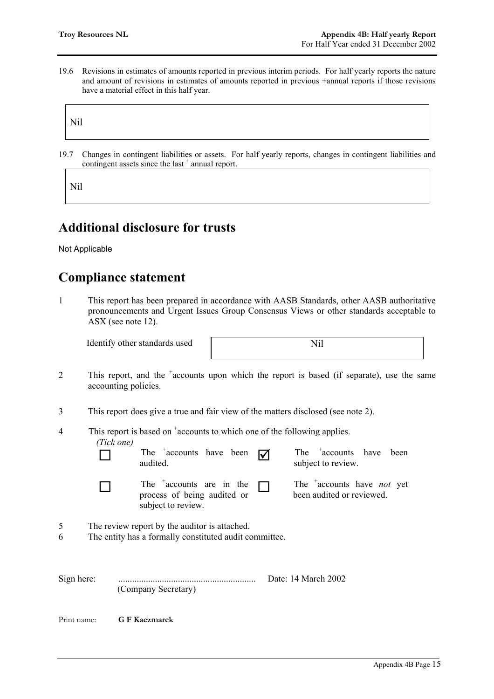19.6 Revisions in estimates of amounts reported in previous interim periods. For half yearly reports the nature and amount of revisions in estimates of amounts reported in previous +annual reports if those revisions have a material effect in this half year.

Nil

19.7 Changes in contingent liabilities or assets. For half yearly reports, changes in contingent liabilities and contingent assets since the last<sup>+</sup> annual report.

Nil

# **Additional disclosure for trusts**

Not Applicable

# **Compliance statement**

1 This report has been prepared in accordance with AASB Standards, other AASB authoritative pronouncements and Urgent Issues Group Consensus Views or other standards acceptable to ASX (see note 12).

Identify other standards used Nil

- 2 This report, and the <sup>+</sup>accounts upon which the report is based (if separate), use the same accounting policies.
- 3 This report does give a true and fair view of the matters disclosed (see note 2).

|            | This report is based on $\alpha$ accounts to which one of the following applies. |  |
|------------|----------------------------------------------------------------------------------|--|
| (Tick one) |                                                                                  |  |



 $\Box$  The  $\uparrow$  accounts have been  $\Box$  The  $\uparrow$  subject subject  $\Box$  The  $\alpha$  + accounts are in the process of being oudited or process of being audited or

The  $\text{+}$  accounts have been subject to review.

 $\Box$  The  $\alpha$  + accounts have *not* yet been audited or reviewed.

- 5 The review report by the auditor is attached.
- 6 The entity has a formally constituted audit committee.

subject to review.

Sign here: ............................................................ Date: 14 March 2002 (Company Secretary)

Print name: **G F Kaczmarek**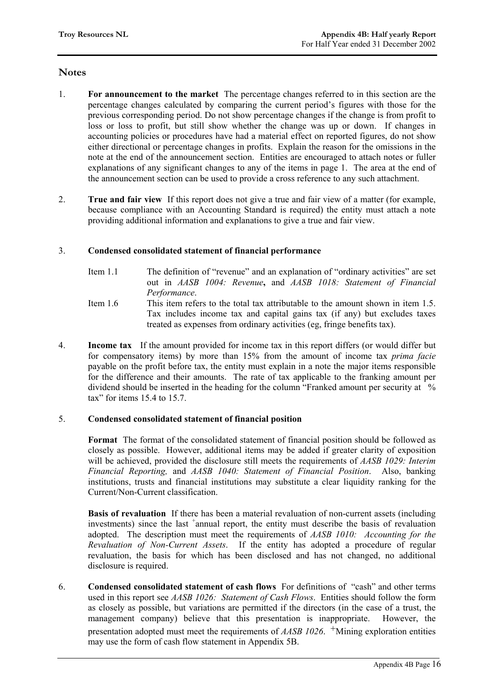#### **Notes**

- 1. **For announcement to the market** The percentage changes referred to in this section are the percentage changes calculated by comparing the current period's figures with those for the previous corresponding period. Do not show percentage changes if the change is from profit to loss or loss to profit, but still show whether the change was up or down. If changes in accounting policies or procedures have had a material effect on reported figures, do not show either directional or percentage changes in profits. Explain the reason for the omissions in the note at the end of the announcement section. Entities are encouraged to attach notes or fuller explanations of any significant changes to any of the items in page 1. The area at the end of the announcement section can be used to provide a cross reference to any such attachment.
- 2. **True and fair view** If this report does not give a true and fair view of a matter (for example, because compliance with an Accounting Standard is required) the entity must attach a note providing additional information and explanations to give a true and fair view.

#### 3. **Condensed consolidated statement of financial performance**

- Item 1.1 The definition of "revenue" and an explanation of "ordinary activities" are set out in *AASB 1004: Revenue***,** and *AASB 1018: Statement of Financial Performance*.
- Item 1.6 This item refers to the total tax attributable to the amount shown in item 1.5. Tax includes income tax and capital gains tax (if any) but excludes taxes treated as expenses from ordinary activities (eg, fringe benefits tax).
- 4. **Income tax** If the amount provided for income tax in this report differs (or would differ but for compensatory items) by more than 15% from the amount of income tax *prima facie* payable on the profit before tax, the entity must explain in a note the major items responsible for the difference and their amounts. The rate of tax applicable to the franking amount per dividend should be inserted in the heading for the column "Franked amount per security at % tax" for items 15.4 to 15.7.

#### 5. **Condensed consolidated statement of financial position**

 **Format** The format of the consolidated statement of financial position should be followed as closely as possible. However, additional items may be added if greater clarity of exposition will be achieved, provided the disclosure still meets the requirements of *AASB 1029: Interim Financial Reporting,* and *AASB 1040: Statement of Financial Position*. Also, banking institutions, trusts and financial institutions may substitute a clear liquidity ranking for the Current/Non-Current classification.

**Basis of revaluation** If there has been a material revaluation of non-current assets (including investments) since the last <sup>+</sup>annual report, the entity must describe the basis of revaluation adopted. The description must meet the requirements of *AASB 1010: Accounting for the Revaluation of Non-Current Assets*. If the entity has adopted a procedure of regular revaluation, the basis for which has been disclosed and has not changed, no additional disclosure is required.

6. **Condensed consolidated statement of cash flows** For definitions of "cash" and other terms used in this report see *AASB 1026: Statement of Cash Flows*. Entities should follow the form as closely as possible, but variations are permitted if the directors (in the case of a trust, the management company) believe that this presentation is inappropriate. However, the presentation adopted must meet the requirements of  $AASB$  1026.  $^+$ Mining exploration entities may use the form of cash flow statement in Appendix 5B.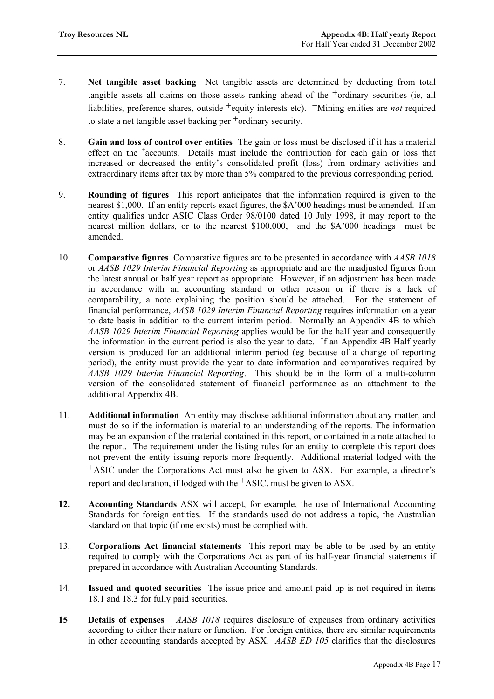- 7. **Net tangible asset backing** Net tangible assets are determined by deducting from total tangible assets all claims on those assets ranking ahead of the  $+$ ordinary securities (ie, all liabilities, preference shares, outside <sup>+</sup>equity interests etc). <sup>+</sup>Mining entities are *not* required to state a net tangible asset backing per +ordinary security.
- 8. **Gain and loss of control over entities** The gain or loss must be disclosed if it has a material effect on the <sup>+</sup>accounts. Details must include the contribution for each gain or loss that increased or decreased the entity's consolidated profit (loss) from ordinary activities and extraordinary items after tax by more than 5% compared to the previous corresponding period.
- 9. **Rounding of figures** This report anticipates that the information required is given to the nearest \$1,000. If an entity reports exact figures, the \$A'000 headings must be amended. If an entity qualifies under ASIC Class Order 98/0100 dated 10 July 1998, it may report to the nearest million dollars, or to the nearest \$100,000, and the \$A'000 headings must be amended.
- 10. **Comparative figures** Comparative figures are to be presented in accordance with *AASB 1018* or *AASB 1029 Interim Financial Reporting* as appropriate and are the unadjusted figures from the latest annual or half year report as appropriate. However, if an adjustment has been made in accordance with an accounting standard or other reason or if there is a lack of comparability, a note explaining the position should be attached. For the statement of financial performance, *AASB 1029 Interim Financial Reporting* requires information on a year to date basis in addition to the current interim period. Normally an Appendix 4B to which *AASB 1029 Interim Financial Reporting* applies would be for the half year and consequently the information in the current period is also the year to date. If an Appendix 4B Half yearly version is produced for an additional interim period (eg because of a change of reporting period), the entity must provide the year to date information and comparatives required by *AASB 1029 Interim Financial Reporting*. This should be in the form of a multi-column version of the consolidated statement of financial performance as an attachment to the additional Appendix 4B.
- 11. **Additional information** An entity may disclose additional information about any matter, and must do so if the information is material to an understanding of the reports. The information may be an expansion of the material contained in this report, or contained in a note attached to the report. The requirement under the listing rules for an entity to complete this report does not prevent the entity issuing reports more frequently. Additional material lodged with the +ASIC under the Corporations Act must also be given to ASX. For example, a director's report and declaration, if lodged with the  $+A$ SIC, must be given to ASX.
- **12. Accounting Standards** ASX will accept, for example, the use of International Accounting Standards for foreign entities. If the standards used do not address a topic, the Australian standard on that topic (if one exists) must be complied with.
- 13. **Corporations Act financial statements** This report may be able to be used by an entity required to comply with the Corporations Act as part of its half-year financial statements if prepared in accordance with Australian Accounting Standards.
- 14. **Issued and quoted securities** The issue price and amount paid up is not required in items 18.1 and 18.3 for fully paid securities.
- **15 Details of expenses** *AASB 1018* requires disclosure of expenses from ordinary activities according to either their nature or function. For foreign entities, there are similar requirements in other accounting standards accepted by ASX. *AASB ED 105* clarifies that the disclosures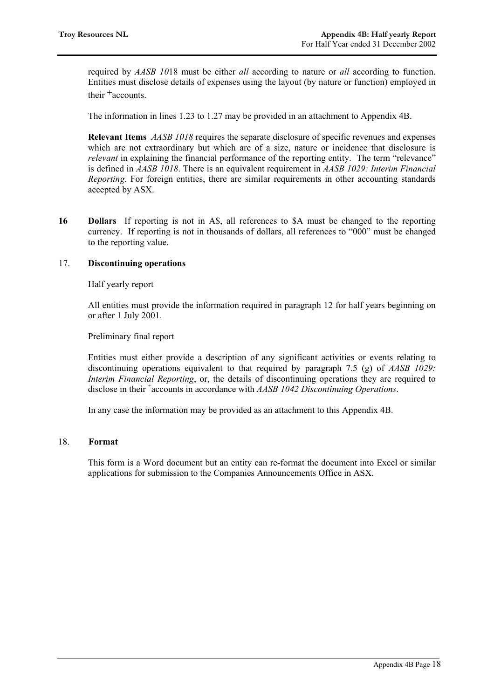required by *AASB 10*18 must be either *all* according to nature or *all* according to function. Entities must disclose details of expenses using the layout (by nature or function) employed in their  $^+$  accounts.

The information in lines 1.23 to 1.27 may be provided in an attachment to Appendix 4B.

**Relevant Items** *AASB 1018* requires the separate disclosure of specific revenues and expenses which are not extraordinary but which are of a size, nature or incidence that disclosure is *relevant* in explaining the financial performance of the reporting entity. The term "relevance" is defined in *AASB 1018*. There is an equivalent requirement in *AASB 1029: Interim Financial Reporting*. For foreign entities, there are similar requirements in other accounting standards accepted by ASX.

**16 Dollars** If reporting is not in A\$, all references to \$A must be changed to the reporting currency. If reporting is not in thousands of dollars, all references to "000" must be changed to the reporting value.

#### 17. **Discontinuing operations**

Half yearly report

All entities must provide the information required in paragraph 12 for half years beginning on or after 1 July 2001.

Preliminary final report

Entities must either provide a description of any significant activities or events relating to discontinuing operations equivalent to that required by paragraph 7.5 (g) of *AASB 1029: Interim Financial Reporting*, or, the details of discontinuing operations they are required to disclose in their + accounts in accordance with *AASB 1042 Discontinuing Operations*.

In any case the information may be provided as an attachment to this Appendix 4B.

#### 18. **Format**

This form is a Word document but an entity can re-format the document into Excel or similar applications for submission to the Companies Announcements Office in ASX.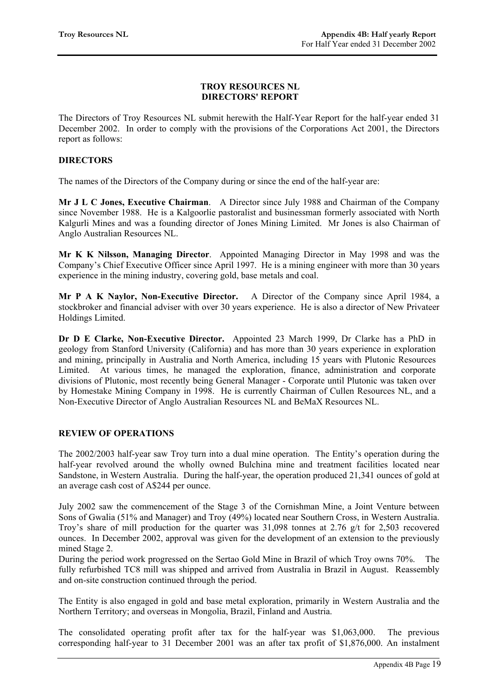#### **TROY RESOURCES NL DIRECTORS' REPORT**

The Directors of Troy Resources NL submit herewith the Half-Year Report for the half-year ended 31 December 2002. In order to comply with the provisions of the Corporations Act 2001, the Directors report as follows:

#### **DIRECTORS**

The names of the Directors of the Company during or since the end of the half-year are:

**Mr J L C Jones, Executive Chairman**. A Director since July 1988 and Chairman of the Company since November 1988. He is a Kalgoorlie pastoralist and businessman formerly associated with North Kalgurli Mines and was a founding director of Jones Mining Limited. Mr Jones is also Chairman of Anglo Australian Resources NL.

**Mr K K Nilsson, Managing Director**. Appointed Managing Director in May 1998 and was the Company's Chief Executive Officer since April 1997. He is a mining engineer with more than 30 years experience in the mining industry, covering gold, base metals and coal.

**Mr P A K Naylor, Non-Executive Director.** A Director of the Company since April 1984, a stockbroker and financial adviser with over 30 years experience. He is also a director of New Privateer Holdings Limited.

**Dr D E Clarke, Non-Executive Director.** Appointed 23 March 1999, Dr Clarke has a PhD in geology from Stanford University (California) and has more than 30 years experience in exploration and mining, principally in Australia and North America, including 15 years with Plutonic Resources Limited. At various times, he managed the exploration, finance, administration and corporate divisions of Plutonic, most recently being General Manager - Corporate until Plutonic was taken over by Homestake Mining Company in 1998. He is currently Chairman of Cullen Resources NL, and a Non-Executive Director of Anglo Australian Resources NL and BeMaX Resources NL.

#### **REVIEW OF OPERATIONS**

The 2002/2003 half-year saw Troy turn into a dual mine operation. The Entity's operation during the half-year revolved around the wholly owned Bulchina mine and treatment facilities located near Sandstone, in Western Australia. During the half-year, the operation produced 21,341 ounces of gold at an average cash cost of A\$244 per ounce.

July 2002 saw the commencement of the Stage 3 of the Cornishman Mine, a Joint Venture between Sons of Gwalia (51% and Manager) and Troy (49%) located near Southern Cross, in Western Australia. Troy's share of mill production for the quarter was 31,098 tonnes at 2.76 g/t for 2,503 recovered ounces. In December 2002, approval was given for the development of an extension to the previously mined Stage 2.

During the period work progressed on the Sertao Gold Mine in Brazil of which Troy owns 70%. The fully refurbished TC8 mill was shipped and arrived from Australia in Brazil in August. Reassembly and on-site construction continued through the period.

The Entity is also engaged in gold and base metal exploration, primarily in Western Australia and the Northern Territory; and overseas in Mongolia, Brazil, Finland and Austria.

The consolidated operating profit after tax for the half-year was \$1,063,000. The previous corresponding half-year to 31 December 2001 was an after tax profit of \$1,876,000. An instalment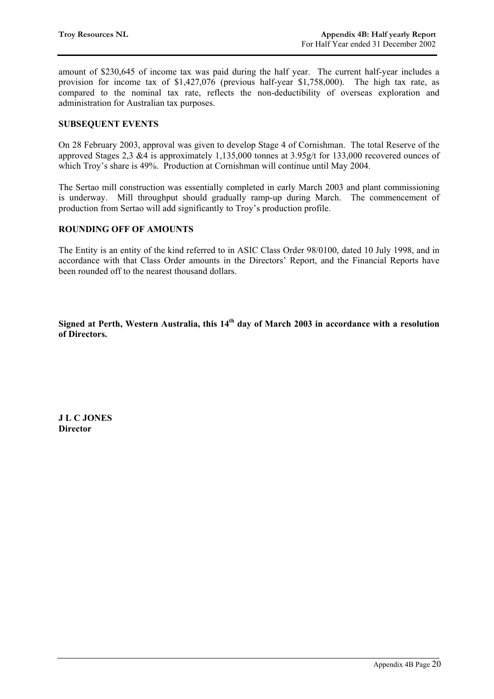amount of \$230,645 of income tax was paid during the half year. The current half-year includes a provision for income tax of \$1,427,076 (previous half-year \$1,758,000). The high tax rate, as compared to the nominal tax rate, reflects the non-deductibility of overseas exploration and administration for Australian tax purposes.

#### **SUBSEQUENT EVENTS**

On 28 February 2003, approval was given to develop Stage 4 of Cornishman. The total Reserve of the approved Stages 2,3 &4 is approximately 1,135,000 tonnes at 3.95g/t for 133,000 recovered ounces of which Troy's share is 49%. Production at Cornishman will continue until May 2004.

The Sertao mill construction was essentially completed in early March 2003 and plant commissioning is underway. Mill throughput should gradually ramp-up during March. The commencement of production from Sertao will add significantly to Troy's production profile.

#### **ROUNDING OFF OF AMOUNTS**

The Entity is an entity of the kind referred to in ASIC Class Order 98/0100, dated 10 July 1998, and in accordance with that Class Order amounts in the Directors' Report, and the Financial Reports have been rounded off to the nearest thousand dollars.

Signed at Perth, Western Australia, this 14<sup>th</sup> day of March 2003 in accordance with a resolution **of Directors.** 

**J L C JONES Director**